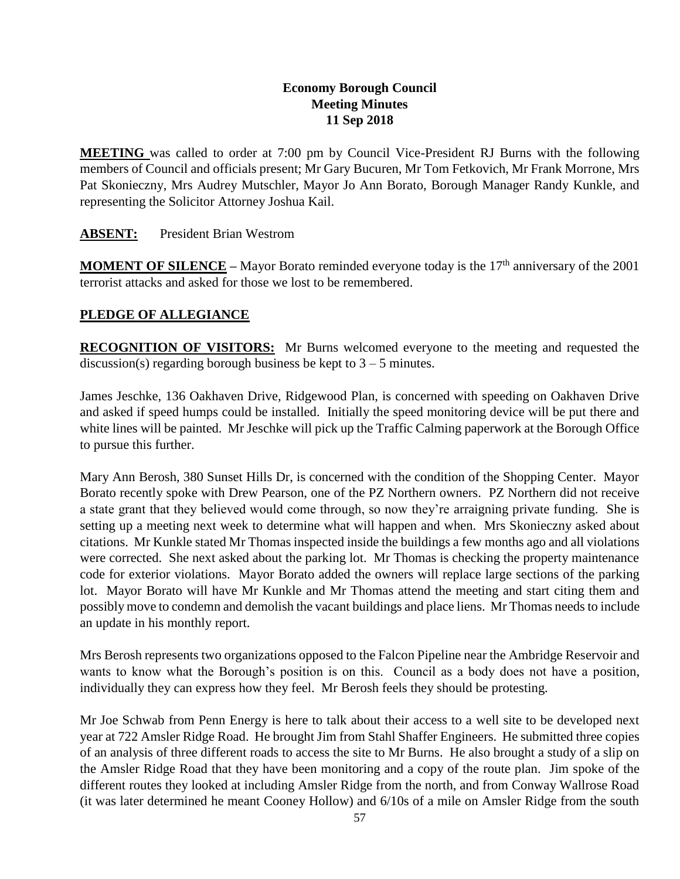# **Economy Borough Council Meeting Minutes 11 Sep 2018**

**MEETING** was called to order at 7:00 pm by Council Vice-President RJ Burns with the following members of Council and officials present; Mr Gary Bucuren, Mr Tom Fetkovich, Mr Frank Morrone, Mrs Pat Skonieczny, Mrs Audrey Mutschler, Mayor Jo Ann Borato, Borough Manager Randy Kunkle, and representing the Solicitor Attorney Joshua Kail.

### **ABSENT:** President Brian Westrom

**MOMENT OF SILENCE** – Mayor Borato reminded everyone today is the 17<sup>th</sup> anniversary of the 2001 terrorist attacks and asked for those we lost to be remembered.

## **PLEDGE OF ALLEGIANCE**

**RECOGNITION OF VISITORS:** Mr Burns welcomed everyone to the meeting and requested the discussion(s) regarding borough business be kept to  $3 - 5$  minutes.

James Jeschke, 136 Oakhaven Drive, Ridgewood Plan, is concerned with speeding on Oakhaven Drive and asked if speed humps could be installed. Initially the speed monitoring device will be put there and white lines will be painted. Mr Jeschke will pick up the Traffic Calming paperwork at the Borough Office to pursue this further.

Mary Ann Berosh, 380 Sunset Hills Dr, is concerned with the condition of the Shopping Center. Mayor Borato recently spoke with Drew Pearson, one of the PZ Northern owners. PZ Northern did not receive a state grant that they believed would come through, so now they're arraigning private funding. She is setting up a meeting next week to determine what will happen and when. Mrs Skonieczny asked about citations. Mr Kunkle stated Mr Thomas inspected inside the buildings a few months ago and all violations were corrected. She next asked about the parking lot. Mr Thomas is checking the property maintenance code for exterior violations. Mayor Borato added the owners will replace large sections of the parking lot. Mayor Borato will have Mr Kunkle and Mr Thomas attend the meeting and start citing them and possibly move to condemn and demolish the vacant buildings and place liens. Mr Thomas needs to include an update in his monthly report.

Mrs Berosh represents two organizations opposed to the Falcon Pipeline near the Ambridge Reservoir and wants to know what the Borough's position is on this. Council as a body does not have a position, individually they can express how they feel. Mr Berosh feels they should be protesting.

Mr Joe Schwab from Penn Energy is here to talk about their access to a well site to be developed next year at 722 Amsler Ridge Road. He brought Jim from Stahl Shaffer Engineers. He submitted three copies of an analysis of three different roads to access the site to Mr Burns. He also brought a study of a slip on the Amsler Ridge Road that they have been monitoring and a copy of the route plan. Jim spoke of the different routes they looked at including Amsler Ridge from the north, and from Conway Wallrose Road (it was later determined he meant Cooney Hollow) and 6/10s of a mile on Amsler Ridge from the south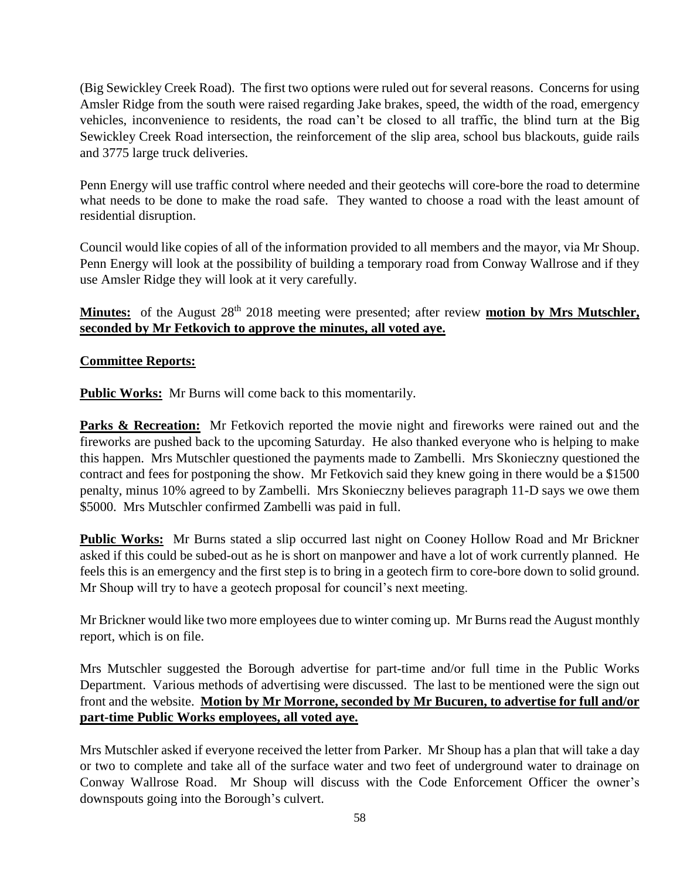(Big Sewickley Creek Road). The first two options were ruled out for several reasons. Concerns for using Amsler Ridge from the south were raised regarding Jake brakes, speed, the width of the road, emergency vehicles, inconvenience to residents, the road can't be closed to all traffic, the blind turn at the Big Sewickley Creek Road intersection, the reinforcement of the slip area, school bus blackouts, guide rails and 3775 large truck deliveries.

Penn Energy will use traffic control where needed and their geotechs will core-bore the road to determine what needs to be done to make the road safe. They wanted to choose a road with the least amount of residential disruption.

Council would like copies of all of the information provided to all members and the mayor, via Mr Shoup. Penn Energy will look at the possibility of building a temporary road from Conway Wallrose and if they use Amsler Ridge they will look at it very carefully.

Minutes: of the August 28<sup>th</sup> 2018 meeting were presented; after review **motion by Mrs Mutschler**, **seconded by Mr Fetkovich to approve the minutes, all voted aye.**

### **Committee Reports:**

**Public Works:** Mr Burns will come back to this momentarily.

**Parks & Recreation:** Mr Fetkovich reported the movie night and fireworks were rained out and the fireworks are pushed back to the upcoming Saturday. He also thanked everyone who is helping to make this happen. Mrs Mutschler questioned the payments made to Zambelli. Mrs Skonieczny questioned the contract and fees for postponing the show. Mr Fetkovich said they knew going in there would be a \$1500 penalty, minus 10% agreed to by Zambelli. Mrs Skonieczny believes paragraph 11-D says we owe them \$5000. Mrs Mutschler confirmed Zambelli was paid in full.

**Public Works:** Mr Burns stated a slip occurred last night on Cooney Hollow Road and Mr Brickner asked if this could be subed-out as he is short on manpower and have a lot of work currently planned. He feels this is an emergency and the first step is to bring in a geotech firm to core-bore down to solid ground. Mr Shoup will try to have a geotech proposal for council's next meeting.

Mr Brickner would like two more employees due to winter coming up. Mr Burns read the August monthly report, which is on file.

Mrs Mutschler suggested the Borough advertise for part-time and/or full time in the Public Works Department. Various methods of advertising were discussed. The last to be mentioned were the sign out front and the website. **Motion by Mr Morrone, seconded by Mr Bucuren, to advertise for full and/or part-time Public Works employees, all voted aye.**

Mrs Mutschler asked if everyone received the letter from Parker. Mr Shoup has a plan that will take a day or two to complete and take all of the surface water and two feet of underground water to drainage on Conway Wallrose Road. Mr Shoup will discuss with the Code Enforcement Officer the owner's downspouts going into the Borough's culvert.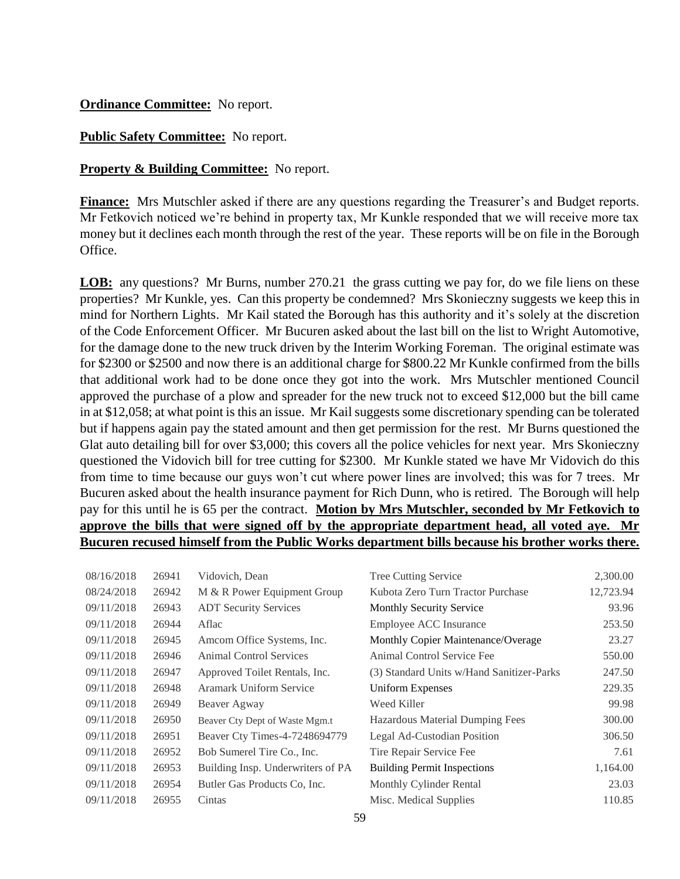### **Ordinance Committee:** No report.

#### **Public Safety Committee:** No report.

#### **Property & Building Committee:** No report.

**Finance:** Mrs Mutschler asked if there are any questions regarding the Treasurer's and Budget reports. Mr Fetkovich noticed we're behind in property tax, Mr Kunkle responded that we will receive more tax money but it declines each month through the rest of the year. These reports will be on file in the Borough Office.

**LOB:** any questions? Mr Burns, number 270.21 the grass cutting we pay for, do we file liens on these properties? Mr Kunkle, yes. Can this property be condemned? Mrs Skonieczny suggests we keep this in mind for Northern Lights. Mr Kail stated the Borough has this authority and it's solely at the discretion of the Code Enforcement Officer. Mr Bucuren asked about the last bill on the list to Wright Automotive, for the damage done to the new truck driven by the Interim Working Foreman. The original estimate was for \$2300 or \$2500 and now there is an additional charge for \$800.22 Mr Kunkle confirmed from the bills that additional work had to be done once they got into the work. Mrs Mutschler mentioned Council approved the purchase of a plow and spreader for the new truck not to exceed \$12,000 but the bill came in at \$12,058; at what point is this an issue. Mr Kail suggests some discretionary spending can be tolerated but if happens again pay the stated amount and then get permission for the rest. Mr Burns questioned the Glat auto detailing bill for over \$3,000; this covers all the police vehicles for next year. Mrs Skonieczny questioned the Vidovich bill for tree cutting for \$2300. Mr Kunkle stated we have Mr Vidovich do this from time to time because our guys won't cut where power lines are involved; this was for 7 trees. Mr Bucuren asked about the health insurance payment for Rich Dunn, who is retired. The Borough will help pay for this until he is 65 per the contract. **Motion by Mrs Mutschler, seconded by Mr Fetkovich to approve the bills that were signed off by the appropriate department head, all voted aye. Mr Bucuren recused himself from the Public Works department bills because his brother works there.**

| 08/16/2018 | 26941 | Vidovich, Dean                    | <b>Tree Cutting Service</b>               | 2,300.00  |
|------------|-------|-----------------------------------|-------------------------------------------|-----------|
| 08/24/2018 | 26942 | M & R Power Equipment Group       | Kubota Zero Turn Tractor Purchase         | 12,723.94 |
| 09/11/2018 | 26943 | <b>ADT Security Services</b>      | <b>Monthly Security Service</b>           | 93.96     |
| 09/11/2018 | 26944 | Aflac                             | Employee ACC Insurance                    | 253.50    |
| 09/11/2018 | 26945 | Amcom Office Systems, Inc.        | Monthly Copier Maintenance/Overage        | 23.27     |
| 09/11/2018 | 26946 | <b>Animal Control Services</b>    | Animal Control Service Fee                | 550.00    |
| 09/11/2018 | 26947 | Approved Toilet Rentals, Inc.     | (3) Standard Units w/Hand Sanitizer-Parks | 247.50    |
| 09/11/2018 | 26948 | <b>Aramark Uniform Service</b>    | Uniform Expenses                          | 229.35    |
| 09/11/2018 | 26949 | Beaver Agway                      | Weed Killer                               | 99.98     |
| 09/11/2018 | 26950 | Beaver Cty Dept of Waste Mgm.t    | Hazardous Material Dumping Fees           | 300.00    |
| 09/11/2018 | 26951 | Beaver Cty Times-4-7248694779     | Legal Ad-Custodian Position               | 306.50    |
| 09/11/2018 | 26952 | Bob Sumerel Tire Co., Inc.        | Tire Repair Service Fee                   | 7.61      |
| 09/11/2018 | 26953 | Building Insp. Underwriters of PA | <b>Building Permit Inspections</b>        | 1,164.00  |
| 09/11/2018 | 26954 | Butler Gas Products Co. Inc.      | Monthly Cylinder Rental                   | 23.03     |
| 09/11/2018 | 26955 | Cintas                            | Misc. Medical Supplies                    | 110.85    |
|            |       |                                   |                                           |           |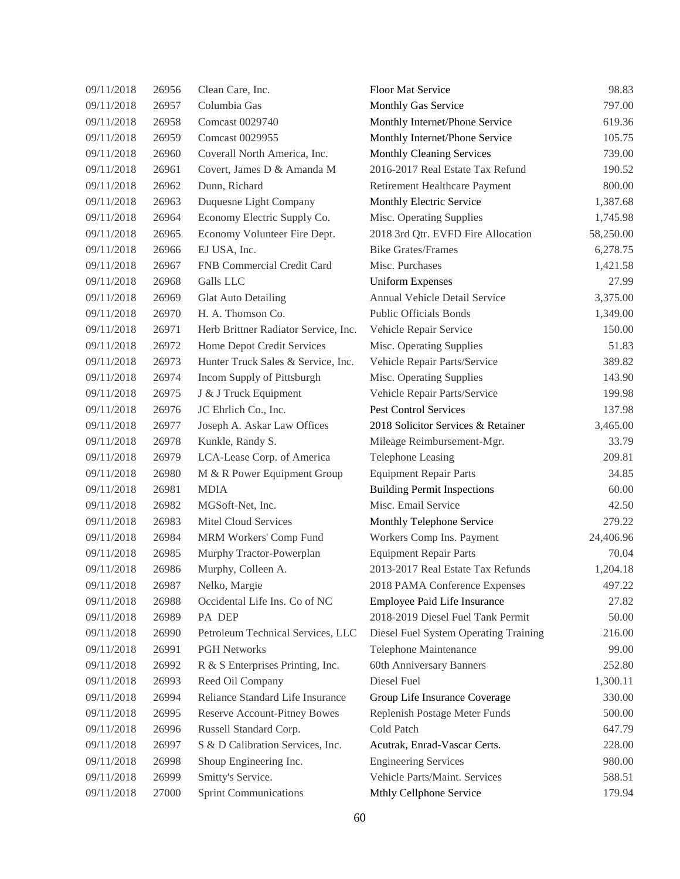| 09/11/2018 | 26956 | Clean Care, Inc.                     | <b>Floor Mat Service</b>              | 98.83     |
|------------|-------|--------------------------------------|---------------------------------------|-----------|
| 09/11/2018 | 26957 | Columbia Gas                         | Monthly Gas Service                   | 797.00    |
| 09/11/2018 | 26958 | Comcast 0029740                      | Monthly Internet/Phone Service        | 619.36    |
| 09/11/2018 | 26959 | Comcast 0029955                      | Monthly Internet/Phone Service        | 105.75    |
| 09/11/2018 | 26960 | Coverall North America, Inc.         | Monthly Cleaning Services             | 739.00    |
| 09/11/2018 | 26961 | Covert, James D & Amanda M           | 2016-2017 Real Estate Tax Refund      | 190.52    |
| 09/11/2018 | 26962 | Dunn, Richard                        | Retirement Healthcare Payment         | 800.00    |
| 09/11/2018 | 26963 | Duquesne Light Company               | Monthly Electric Service              | 1,387.68  |
| 09/11/2018 | 26964 | Economy Electric Supply Co.          | Misc. Operating Supplies              | 1,745.98  |
| 09/11/2018 | 26965 | Economy Volunteer Fire Dept.         | 2018 3rd Qtr. EVFD Fire Allocation    | 58,250.00 |
| 09/11/2018 | 26966 | EJ USA, Inc.                         | <b>Bike Grates/Frames</b>             | 6,278.75  |
| 09/11/2018 | 26967 | FNB Commercial Credit Card           | Misc. Purchases                       | 1,421.58  |
| 09/11/2018 | 26968 | Galls LLC                            | <b>Uniform Expenses</b>               | 27.99     |
| 09/11/2018 | 26969 | Glat Auto Detailing                  | Annual Vehicle Detail Service         | 3,375.00  |
| 09/11/2018 | 26970 | H. A. Thomson Co.                    | <b>Public Officials Bonds</b>         | 1,349.00  |
| 09/11/2018 | 26971 | Herb Brittner Radiator Service, Inc. | Vehicle Repair Service                | 150.00    |
| 09/11/2018 | 26972 | Home Depot Credit Services           | Misc. Operating Supplies              | 51.83     |
| 09/11/2018 | 26973 | Hunter Truck Sales & Service, Inc.   | Vehicle Repair Parts/Service          | 389.82    |
| 09/11/2018 | 26974 | Incom Supply of Pittsburgh           | Misc. Operating Supplies              | 143.90    |
| 09/11/2018 | 26975 | J & J Truck Equipment                | Vehicle Repair Parts/Service          | 199.98    |
| 09/11/2018 | 26976 | JC Ehrlich Co., Inc.                 | <b>Pest Control Services</b>          | 137.98    |
| 09/11/2018 | 26977 | Joseph A. Askar Law Offices          | 2018 Solicitor Services & Retainer    | 3,465.00  |
| 09/11/2018 | 26978 | Kunkle, Randy S.                     | Mileage Reimbursement-Mgr.            | 33.79     |
| 09/11/2018 | 26979 | LCA-Lease Corp. of America           | <b>Telephone Leasing</b>              | 209.81    |
| 09/11/2018 | 26980 | M & R Power Equipment Group          | <b>Equipment Repair Parts</b>         | 34.85     |
| 09/11/2018 | 26981 | <b>MDIA</b>                          | <b>Building Permit Inspections</b>    | 60.00     |
| 09/11/2018 | 26982 | MGSoft-Net, Inc.                     | Misc. Email Service                   | 42.50     |
| 09/11/2018 | 26983 | Mitel Cloud Services                 | Monthly Telephone Service             | 279.22    |
| 09/11/2018 | 26984 | MRM Workers' Comp Fund               | Workers Comp Ins. Payment             | 24,406.96 |
| 09/11/2018 | 26985 | Murphy Tractor-Powerplan             | <b>Equipment Repair Parts</b>         | 70.04     |
| 09/11/2018 | 26986 | Murphy, Colleen A.                   | 2013-2017 Real Estate Tax Refunds     | 1,204.18  |
| 09/11/2018 | 26987 | Nelko, Margie                        | 2018 PAMA Conference Expenses         | 497.22    |
| 09/11/2018 | 26988 | Occidental Life Ins. Co of NC        | Employee Paid Life Insurance          | 27.82     |
| 09/11/2018 | 26989 | PA DEP                               | 2018-2019 Diesel Fuel Tank Permit     | 50.00     |
| 09/11/2018 | 26990 | Petroleum Technical Services, LLC    | Diesel Fuel System Operating Training | 216.00    |
| 09/11/2018 | 26991 | <b>PGH Networks</b>                  | Telephone Maintenance                 | 99.00     |
| 09/11/2018 | 26992 | R & S Enterprises Printing, Inc.     | 60th Anniversary Banners              | 252.80    |
| 09/11/2018 | 26993 | Reed Oil Company                     | Diesel Fuel                           | 1,300.11  |
| 09/11/2018 | 26994 | Reliance Standard Life Insurance     | Group Life Insurance Coverage         | 330.00    |
| 09/11/2018 | 26995 | <b>Reserve Account-Pitney Bowes</b>  | Replenish Postage Meter Funds         | 500.00    |
| 09/11/2018 | 26996 | Russell Standard Corp.               | Cold Patch                            | 647.79    |
| 09/11/2018 | 26997 | S & D Calibration Services, Inc.     | Acutrak, Enrad-Vascar Certs.          | 228.00    |
| 09/11/2018 | 26998 | Shoup Engineering Inc.               | <b>Engineering Services</b>           | 980.00    |
| 09/11/2018 | 26999 | Smitty's Service.                    | Vehicle Parts/Maint. Services         | 588.51    |
| 09/11/2018 | 27000 | <b>Sprint Communications</b>         | Mthly Cellphone Service               | 179.94    |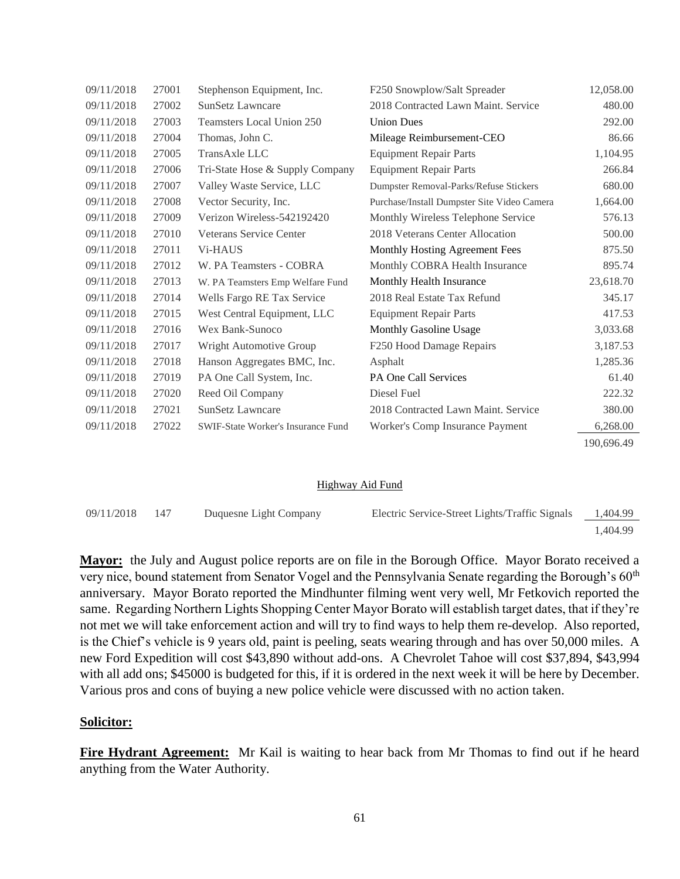| 09/11/2018 | 27001 | Stephenson Equipment, Inc.                | F250 Snowplow/Salt Spreader                 | 12,058.00  |
|------------|-------|-------------------------------------------|---------------------------------------------|------------|
| 09/11/2018 | 27002 | <b>SunSetz Lawncare</b>                   | 2018 Contracted Lawn Maint. Service         | 480.00     |
| 09/11/2018 | 27003 | Teamsters Local Union 250                 | <b>Union Dues</b>                           | 292.00     |
| 09/11/2018 | 27004 | Thomas, John C.                           | Mileage Reimbursement-CEO                   | 86.66      |
| 09/11/2018 | 27005 | TransAxle LLC                             | <b>Equipment Repair Parts</b>               | 1,104.95   |
| 09/11/2018 | 27006 | Tri-State Hose & Supply Company           | <b>Equipment Repair Parts</b>               | 266.84     |
| 09/11/2018 | 27007 | Valley Waste Service, LLC                 | Dumpster Removal-Parks/Refuse Stickers      | 680.00     |
| 09/11/2018 | 27008 | Vector Security, Inc.                     | Purchase/Install Dumpster Site Video Camera | 1,664.00   |
| 09/11/2018 | 27009 | Verizon Wireless-542192420                | Monthly Wireless Telephone Service          | 576.13     |
| 09/11/2018 | 27010 | <b>Veterans Service Center</b>            | 2018 Veterans Center Allocation             | 500.00     |
| 09/11/2018 | 27011 | <b>Vi-HAUS</b>                            | Monthly Hosting Agreement Fees              | 875.50     |
| 09/11/2018 | 27012 | W. PA Teamsters - COBRA                   | Monthly COBRA Health Insurance              | 895.74     |
| 09/11/2018 | 27013 | W. PA Teamsters Emp Welfare Fund          | Monthly Health Insurance                    | 23,618.70  |
| 09/11/2018 | 27014 | Wells Fargo RE Tax Service                | 2018 Real Estate Tax Refund                 | 345.17     |
| 09/11/2018 | 27015 | West Central Equipment, LLC               | <b>Equipment Repair Parts</b>               | 417.53     |
| 09/11/2018 | 27016 | Wex Bank-Sunoco                           | Monthly Gasoline Usage                      | 3,033.68   |
| 09/11/2018 | 27017 | Wright Automotive Group                   | F250 Hood Damage Repairs                    | 3,187.53   |
| 09/11/2018 | 27018 | Hanson Aggregates BMC, Inc.               | Asphalt                                     | 1,285.36   |
| 09/11/2018 | 27019 | PA One Call System, Inc.                  | PA One Call Services                        | 61.40      |
| 09/11/2018 | 27020 | Reed Oil Company                          | Diesel Fuel                                 | 222.32     |
| 09/11/2018 | 27021 | SunSetz Lawncare                          | 2018 Contracted Lawn Maint. Service         | 380.00     |
| 09/11/2018 | 27022 | <b>SWIF-State Worker's Insurance Fund</b> | Worker's Comp Insurance Payment             | 6,268.00   |
|            |       |                                           |                                             | 190,696.49 |

#### Highway Aid Fund

| 09/11/2018 | - 147 | Duquesne Light Company | Electric Service-Street Lights/Traffic Signals | 1,404.99 |
|------------|-------|------------------------|------------------------------------------------|----------|
|            |       |                        |                                                | 1.404.99 |

**Mayor:** the July and August police reports are on file in the Borough Office. Mayor Borato received a very nice, bound statement from Senator Vogel and the Pennsylvania Senate regarding the Borough's 60<sup>th</sup> anniversary. Mayor Borato reported the Mindhunter filming went very well, Mr Fetkovich reported the same. Regarding Northern Lights Shopping Center Mayor Borato will establish target dates, that if they're not met we will take enforcement action and will try to find ways to help them re-develop. Also reported, is the Chief's vehicle is 9 years old, paint is peeling, seats wearing through and has over 50,000 miles. A new Ford Expedition will cost \$43,890 without add-ons. A Chevrolet Tahoe will cost \$37,894, \$43,994 with all add ons; \$45000 is budgeted for this, if it is ordered in the next week it will be here by December. Various pros and cons of buying a new police vehicle were discussed with no action taken.

#### **Solicitor:**

**Fire Hydrant Agreement:** Mr Kail is waiting to hear back from Mr Thomas to find out if he heard anything from the Water Authority.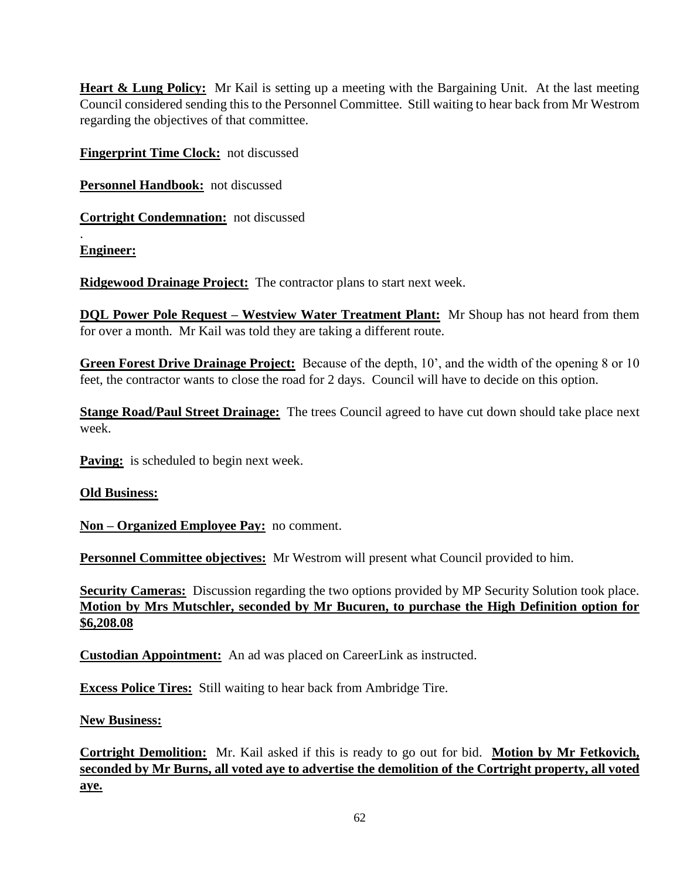**Heart & Lung Policy:** Mr Kail is setting up a meeting with the Bargaining Unit. At the last meeting Council considered sending this to the Personnel Committee. Still waiting to hear back from Mr Westrom regarding the objectives of that committee.

**Fingerprint Time Clock:** not discussed

**Personnel Handbook:** not discussed

**Cortright Condemnation:** not discussed

**Engineer:**

.

**Ridgewood Drainage Project:** The contractor plans to start next week.

**DQL Power Pole Request – Westview Water Treatment Plant:** Mr Shoup has not heard from them for over a month. Mr Kail was told they are taking a different route.

**Green Forest Drive Drainage Project:** Because of the depth, 10', and the width of the opening 8 or 10 feet, the contractor wants to close the road for 2 days. Council will have to decide on this option.

**Stange Road/Paul Street Drainage:** The trees Council agreed to have cut down should take place next week.

**Paving:** is scheduled to begin next week.

### **Old Business:**

**Non – Organized Employee Pay:** no comment.

**Personnel Committee objectives:** Mr Westrom will present what Council provided to him.

**Security Cameras:** Discussion regarding the two options provided by MP Security Solution took place. **Motion by Mrs Mutschler, seconded by Mr Bucuren, to purchase the High Definition option for \$6,208.08**

**Custodian Appointment:** An ad was placed on CareerLink as instructed.

**Excess Police Tires:** Still waiting to hear back from Ambridge Tire.

### **New Business:**

**Cortright Demolition:** Mr. Kail asked if this is ready to go out for bid. **Motion by Mr Fetkovich, seconded by Mr Burns, all voted aye to advertise the demolition of the Cortright property, all voted aye.**